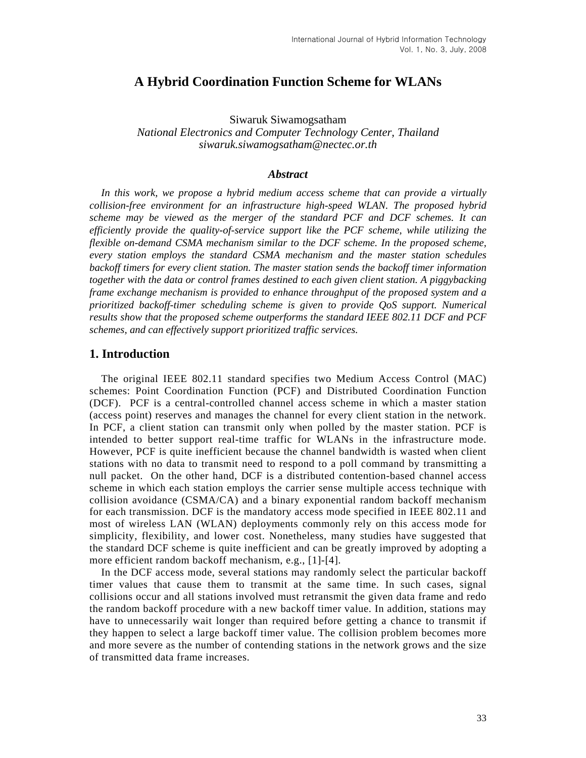# **A Hybrid Coordination Function Scheme for WLANs**

Siwaruk Siwamogsatham *National Electronics and Computer Technology Center, Thailand siwaruk.siwamogsatham@nectec.or.th* 

#### *Abstract*

In this work, we propose a hybrid medium access scheme that can provide a virtually *collision-free environment for an infrastructure high-speed WLAN. The proposed hybrid scheme may be viewed as the merger of the standard PCF and DCF schemes. It can efficiently provide the quality-of-service support like the PCF scheme, while utilizing the flexible on-demand CSMA mechanism similar to the DCF scheme. In the proposed scheme, every station employs the standard CSMA mechanism and the master station schedules backoff timers for every client station. The master station sends the backoff timer information together with the data or control frames destined to each given client station. A piggybacking frame exchange mechanism is provided to enhance throughput of the proposed system and a prioritized backoff-timer scheduling scheme is given to provide QoS support. Numerical results show that the proposed scheme outperforms the standard IEEE 802.11 DCF and PCF schemes, and can effectively support prioritized traffic services.* 

### **1. Introduction**

The original IEEE 802.11 standard specifies two Medium Access Control (MAC) schemes: Point Coordination Function (PCF) and Distributed Coordination Function (DCF). PCF is a central-controlled channel access scheme in which a master station (access point) reserves and manages the channel for every client station in the network. In PCF, a client station can transmit only when polled by the master station. PCF is intended to better support real-time traffic for WLANs in the infrastructure mode. However, PCF is quite inefficient because the channel bandwidth is wasted when client stations with no data to transmit need to respond to a poll command by transmitting a null packet. On the other hand, DCF is a distributed contention-based channel access scheme in which each station employs the carrier sense multiple access technique with collision avoidance (CSMA/CA) and a binary exponential random backoff mechanism for each transmission. DCF is the mandatory access mode specified in IEEE 802.11 and most of wireless LAN (WLAN) deployments commonly rely on this access mode for simplicity, flexibility, and lower cost. Nonetheless, many studies have suggested that the standard DCF scheme is quite inefficient and can be greatly improved by adopting a more efficient random backoff mechanism, e.g., [1]-[4].

In the DCF access mode, several stations may randomly select the particular backoff timer values that cause them to transmit at the same time. In such cases, signal collisions occur and all stations involved must retransmit the given data frame and redo the random backoff procedure with a new backoff timer value. In addition, stations may have to unnecessarily wait longer than required before getting a chance to transmit if they happen to select a large backoff timer value. The collision problem becomes more and more severe as the number of contending stations in the network grows and the size of transmitted data frame increases.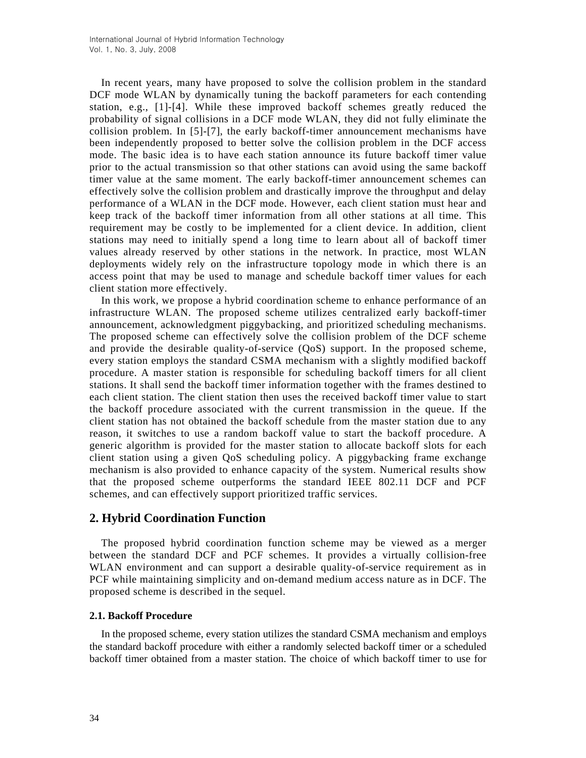In recent years, many have proposed to solve the collision problem in the standard DCF mode WLAN by dynamically tuning the backoff parameters for each contending station, e.g., [1]-[4]. While these improved backoff schemes greatly reduced the probability of signal collisions in a DCF mode WLAN, they did not fully eliminate the collision problem. In [5]-[7], the early backoff-timer announcement mechanisms have been independently proposed to better solve the collision problem in the DCF access mode. The basic idea is to have each station announce its future backoff timer value prior to the actual transmission so that other stations can avoid using the same backoff timer value at the same moment. The early backoff-timer announcement schemes can effectively solve the collision problem and drastically improve the throughput and delay performance of a WLAN in the DCF mode. However, each client station must hear and keep track of the backoff timer information from all other stations at all time. This requirement may be costly to be implemented for a client device. In addition, client stations may need to initially spend a long time to learn about all of backoff timer values already reserved by other stations in the network. In practice, most WLAN deployments widely rely on the infrastructure topology mode in which there is an access point that may be used to manage and schedule backoff timer values for each client station more effectively.

In this work, we propose a hybrid coordination scheme to enhance performance of an infrastructure WLAN. The proposed scheme utilizes centralized early backoff-timer announcement, acknowledgment piggybacking, and prioritized scheduling mechanisms. The proposed scheme can effectively solve the collision problem of the DCF scheme and provide the desirable quality-of-service (QoS) support. In the proposed scheme, every station employs the standard CSMA mechanism with a slightly modified backoff procedure. A master station is responsible for scheduling backoff timers for all client stations. It shall send the backoff timer information together with the frames destined to each client station. The client station then uses the received backoff timer value to start the backoff procedure associated with the current transmission in the queue. If the client station has not obtained the backoff schedule from the master station due to any reason, it switches to use a random backoff value to start the backoff procedure. A generic algorithm is provided for the master station to allocate backoff slots for each client station using a given QoS scheduling policy. A piggybacking frame exchange mechanism is also provided to enhance capacity of the system. Numerical results show that the proposed scheme outperforms the standard IEEE 802.11 DCF and PCF schemes, and can effectively support prioritized traffic services.

# **2. Hybrid Coordination Function**

The proposed hybrid coordination function scheme may be viewed as a merger between the standard DCF and PCF schemes. It provides a virtually collision-free WLAN environment and can support a desirable quality-of-service requirement as in PCF while maintaining simplicity and on-demand medium access nature as in DCF. The proposed scheme is described in the sequel.

#### **2.1. Backoff Procedure**

In the proposed scheme, every station utilizes the standard CSMA mechanism and employs the standard backoff procedure with either a randomly selected backoff timer or a scheduled backoff timer obtained from a master station. The choice of which backoff timer to use for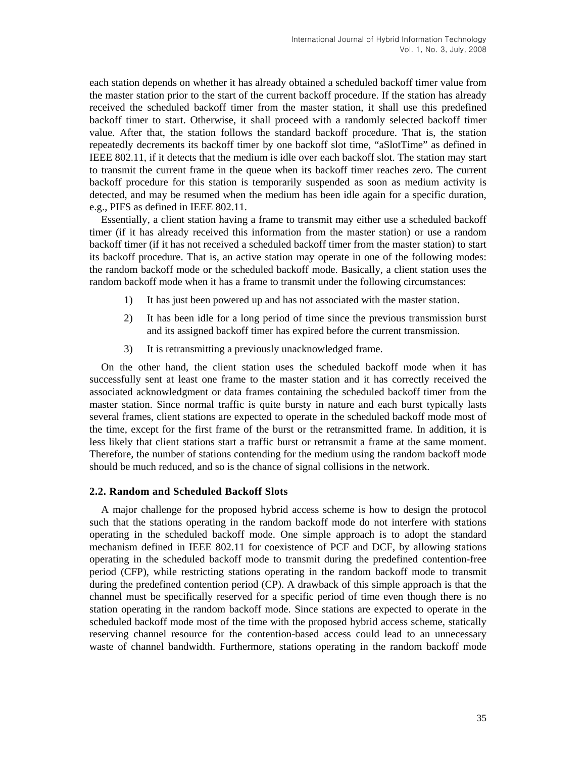each station depends on whether it has already obtained a scheduled backoff timer value from the master station prior to the start of the current backoff procedure. If the station has already received the scheduled backoff timer from the master station, it shall use this predefined backoff timer to start. Otherwise, it shall proceed with a randomly selected backoff timer value. After that, the station follows the standard backoff procedure. That is, the station repeatedly decrements its backoff timer by one backoff slot time, "aSlotTime" as defined in IEEE 802.11, if it detects that the medium is idle over each backoff slot. The station may start to transmit the current frame in the queue when its backoff timer reaches zero. The current backoff procedure for this station is temporarily suspended as soon as medium activity is detected, and may be resumed when the medium has been idle again for a specific duration, e.g., PIFS as defined in IEEE 802.11.

Essentially, a client station having a frame to transmit may either use a scheduled backoff timer (if it has already received this information from the master station) or use a random backoff timer (if it has not received a scheduled backoff timer from the master station) to start its backoff procedure. That is, an active station may operate in one of the following modes: the random backoff mode or the scheduled backoff mode. Basically, a client station uses the random backoff mode when it has a frame to transmit under the following circumstances:

- 1) It has just been powered up and has not associated with the master station.
- 2) It has been idle for a long period of time since the previous transmission burst and its assigned backoff timer has expired before the current transmission.
- 3) It is retransmitting a previously unacknowledged frame.

On the other hand, the client station uses the scheduled backoff mode when it has successfully sent at least one frame to the master station and it has correctly received the associated acknowledgment or data frames containing the scheduled backoff timer from the master station. Since normal traffic is quite bursty in nature and each burst typically lasts several frames, client stations are expected to operate in the scheduled backoff mode most of the time, except for the first frame of the burst or the retransmitted frame. In addition, it is less likely that client stations start a traffic burst or retransmit a frame at the same moment. Therefore, the number of stations contending for the medium using the random backoff mode should be much reduced, and so is the chance of signal collisions in the network.

#### **2.2. Random and Scheduled Backoff Slots**

A major challenge for the proposed hybrid access scheme is how to design the protocol such that the stations operating in the random backoff mode do not interfere with stations operating in the scheduled backoff mode. One simple approach is to adopt the standard mechanism defined in IEEE 802.11 for coexistence of PCF and DCF, by allowing stations operating in the scheduled backoff mode to transmit during the predefined contention-free period (CFP), while restricting stations operating in the random backoff mode to transmit during the predefined contention period (CP). A drawback of this simple approach is that the channel must be specifically reserved for a specific period of time even though there is no station operating in the random backoff mode. Since stations are expected to operate in the scheduled backoff mode most of the time with the proposed hybrid access scheme, statically reserving channel resource for the contention-based access could lead to an unnecessary waste of channel bandwidth. Furthermore, stations operating in the random backoff mode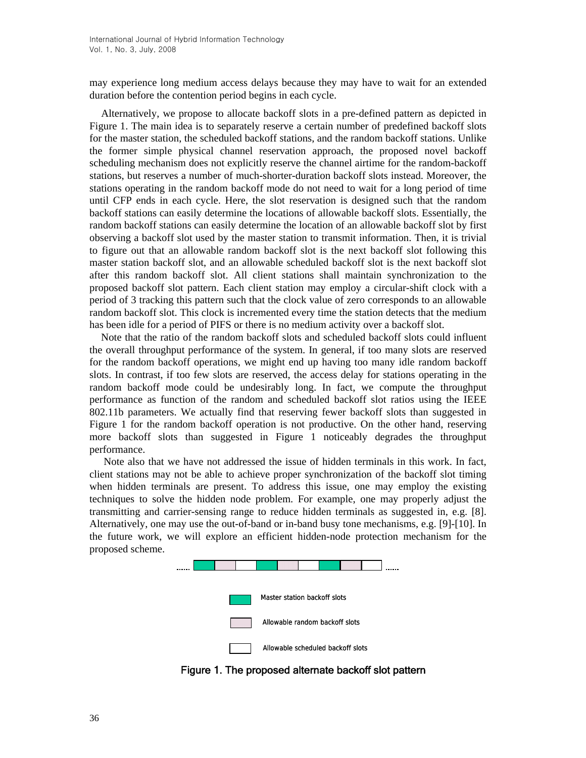may experience long medium access delays because they may have to wait for an extended duration before the contention period begins in each cycle.

Alternatively, we propose to allocate backoff slots in a pre-defined pattern as depicted in Figure 1. The main idea is to separately reserve a certain number of predefined backoff slots for the master station, the scheduled backoff stations, and the random backoff stations. Unlike the former simple physical channel reservation approach, the proposed novel backoff scheduling mechanism does not explicitly reserve the channel airtime for the random-backoff stations, but reserves a number of much-shorter-duration backoff slots instead. Moreover, the stations operating in the random backoff mode do not need to wait for a long period of time until CFP ends in each cycle. Here, the slot reservation is designed such that the random backoff stations can easily determine the locations of allowable backoff slots. Essentially, the random backoff stations can easily determine the location of an allowable backoff slot by first observing a backoff slot used by the master station to transmit information. Then, it is trivial to figure out that an allowable random backoff slot is the next backoff slot following this master station backoff slot, and an allowable scheduled backoff slot is the next backoff slot after this random backoff slot. All client stations shall maintain synchronization to the proposed backoff slot pattern. Each client station may employ a circular-shift clock with a period of 3 tracking this pattern such that the clock value of zero corresponds to an allowable random backoff slot. This clock is incremented every time the station detects that the medium has been idle for a period of PIFS or there is no medium activity over a backoff slot.

Note that the ratio of the random backoff slots and scheduled backoff slots could influent the overall throughput performance of the system. In general, if too many slots are reserved for the random backoff operations, we might end up having too many idle random backoff slots. In contrast, if too few slots are reserved, the access delay for stations operating in the random backoff mode could be undesirably long. In fact, we compute the throughput performance as function of the random and scheduled backoff slot ratios using the IEEE 802.11b parameters. We actually find that reserving fewer backoff slots than suggested in Figure 1 for the random backoff operation is not productive. On the other hand, reserving more backoff slots than suggested in Figure 1 noticeably degrades the throughput performance.

 Note also that we have not addressed the issue of hidden terminals in this work. In fact, client stations may not be able to achieve proper synchronization of the backoff slot timing when hidden terminals are present. To address this issue, one may employ the existing techniques to solve the hidden node problem. For example, one may properly adjust the transmitting and carrier-sensing range to reduce hidden terminals as suggested in, e.g. [8]. Alternatively, one may use the out-of-band or in-band busy tone mechanisms, e.g. [9]-[10]. In the future work, we will explore an efficient hidden-node protection mechanism for the proposed scheme.



Figure 1. The proposed alternate backoff slot pattern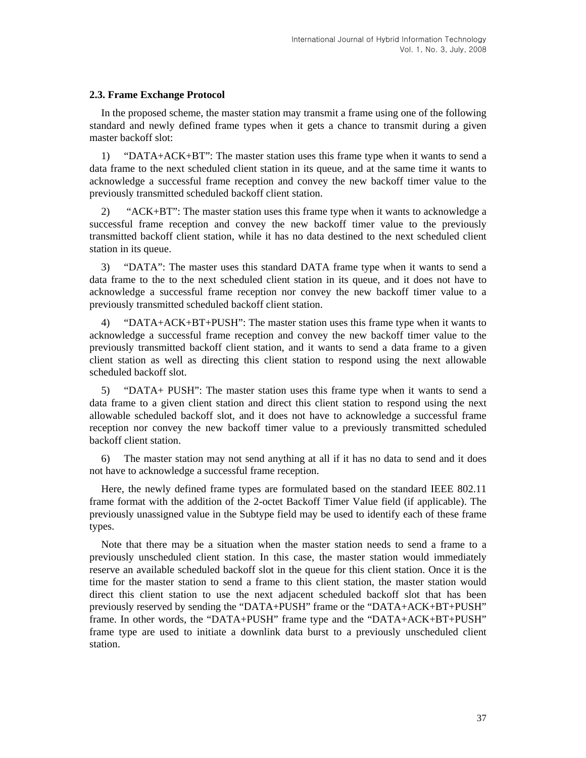### **2.3. Frame Exchange Protocol**

In the proposed scheme, the master station may transmit a frame using one of the following standard and newly defined frame types when it gets a chance to transmit during a given master backoff slot:

1) "DATA+ACK+BT": The master station uses this frame type when it wants to send a data frame to the next scheduled client station in its queue, and at the same time it wants to acknowledge a successful frame reception and convey the new backoff timer value to the previously transmitted scheduled backoff client station.

2) "ACK+BT": The master station uses this frame type when it wants to acknowledge a successful frame reception and convey the new backoff timer value to the previously transmitted backoff client station, while it has no data destined to the next scheduled client station in its queue.

3) "DATA": The master uses this standard DATA frame type when it wants to send a data frame to the to the next scheduled client station in its queue, and it does not have to acknowledge a successful frame reception nor convey the new backoff timer value to a previously transmitted scheduled backoff client station.

4) "DATA+ACK+BT+PUSH": The master station uses this frame type when it wants to acknowledge a successful frame reception and convey the new backoff timer value to the previously transmitted backoff client station, and it wants to send a data frame to a given client station as well as directing this client station to respond using the next allowable scheduled backoff slot.

5) "DATA+ PUSH": The master station uses this frame type when it wants to send a data frame to a given client station and direct this client station to respond using the next allowable scheduled backoff slot, and it does not have to acknowledge a successful frame reception nor convey the new backoff timer value to a previously transmitted scheduled backoff client station.

6) The master station may not send anything at all if it has no data to send and it does not have to acknowledge a successful frame reception.

Here, the newly defined frame types are formulated based on the standard IEEE 802.11 frame format with the addition of the 2-octet Backoff Timer Value field (if applicable). The previously unassigned value in the Subtype field may be used to identify each of these frame types.

Note that there may be a situation when the master station needs to send a frame to a previously unscheduled client station. In this case, the master station would immediately reserve an available scheduled backoff slot in the queue for this client station. Once it is the time for the master station to send a frame to this client station, the master station would direct this client station to use the next adjacent scheduled backoff slot that has been previously reserved by sending the "DATA+PUSH" frame or the "DATA+ACK+BT+PUSH" frame. In other words, the "DATA+PUSH" frame type and the "DATA+ACK+BT+PUSH" frame type are used to initiate a downlink data burst to a previously unscheduled client station.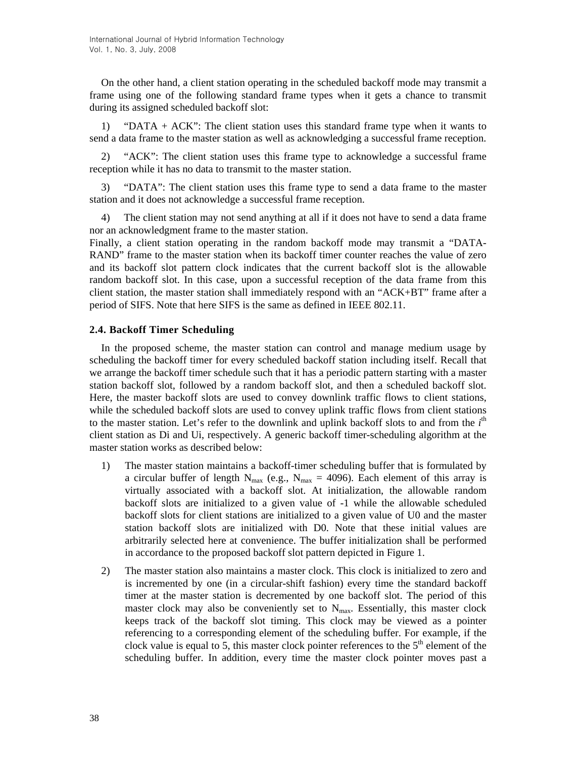On the other hand, a client station operating in the scheduled backoff mode may transmit a frame using one of the following standard frame types when it gets a chance to transmit during its assigned scheduled backoff slot:

1) "DATA + ACK": The client station uses this standard frame type when it wants to send a data frame to the master station as well as acknowledging a successful frame reception.

"ACK": The client station uses this frame type to acknowledge a successful frame reception while it has no data to transmit to the master station.

3) "DATA": The client station uses this frame type to send a data frame to the master station and it does not acknowledge a successful frame reception.

4) The client station may not send anything at all if it does not have to send a data frame nor an acknowledgment frame to the master station.

Finally, a client station operating in the random backoff mode may transmit a "DATA-RAND" frame to the master station when its backoff timer counter reaches the value of zero and its backoff slot pattern clock indicates that the current backoff slot is the allowable random backoff slot. In this case, upon a successful reception of the data frame from this client station, the master station shall immediately respond with an "ACK+BT" frame after a period of SIFS. Note that here SIFS is the same as defined in IEEE 802.11.

#### **2.4. Backoff Timer Scheduling**

In the proposed scheme, the master station can control and manage medium usage by scheduling the backoff timer for every scheduled backoff station including itself. Recall that we arrange the backoff timer schedule such that it has a periodic pattern starting with a master station backoff slot, followed by a random backoff slot, and then a scheduled backoff slot. Here, the master backoff slots are used to convey downlink traffic flows to client stations, while the scheduled backoff slots are used to convey uplink traffic flows from client stations to the master station. Let's refer to the downlink and uplink backoff slots to and from the  $i<sup>th</sup>$ client station as Di and Ui, respectively. A generic backoff timer-scheduling algorithm at the master station works as described below:

- 1) The master station maintains a backoff-timer scheduling buffer that is formulated by a circular buffer of length  $N_{max}$  (e.g.,  $N_{max} = 4096$ ). Each element of this array is virtually associated with a backoff slot. At initialization, the allowable random backoff slots are initialized to a given value of -1 while the allowable scheduled backoff slots for client stations are initialized to a given value of U0 and the master station backoff slots are initialized with D0. Note that these initial values are arbitrarily selected here at convenience. The buffer initialization shall be performed in accordance to the proposed backoff slot pattern depicted in Figure 1.
- 2) The master station also maintains a master clock. This clock is initialized to zero and is incremented by one (in a circular-shift fashion) every time the standard backoff timer at the master station is decremented by one backoff slot. The period of this master clock may also be conveniently set to  $N_{\text{max}}$ . Essentially, this master clock keeps track of the backoff slot timing. This clock may be viewed as a pointer referencing to a corresponding element of the scheduling buffer. For example, if the clock value is equal to 5, this master clock pointer references to the  $5<sup>th</sup>$  element of the scheduling buffer. In addition, every time the master clock pointer moves past a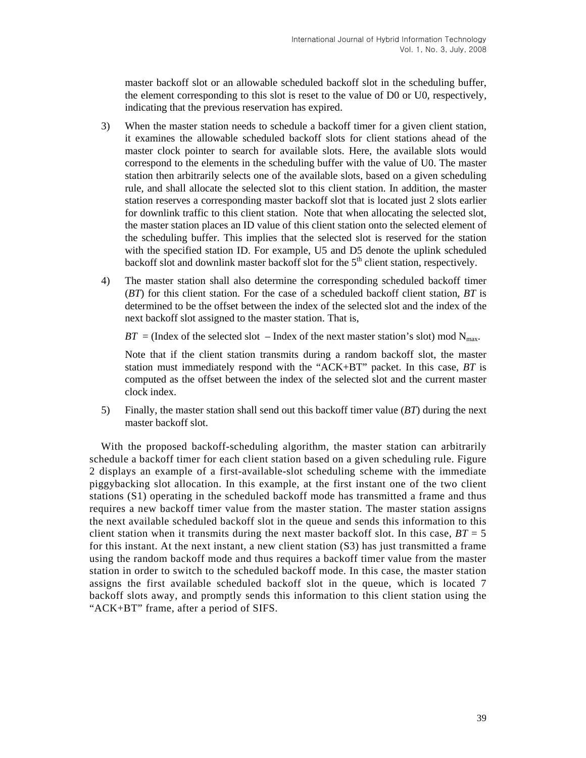master backoff slot or an allowable scheduled backoff slot in the scheduling buffer, the element corresponding to this slot is reset to the value of D0 or U0, respectively, indicating that the previous reservation has expired.

- 3) When the master station needs to schedule a backoff timer for a given client station, it examines the allowable scheduled backoff slots for client stations ahead of the master clock pointer to search for available slots. Here, the available slots would correspond to the elements in the scheduling buffer with the value of U0. The master station then arbitrarily selects one of the available slots, based on a given scheduling rule, and shall allocate the selected slot to this client station. In addition, the master station reserves a corresponding master backoff slot that is located just 2 slots earlier for downlink traffic to this client station. Note that when allocating the selected slot, the master station places an ID value of this client station onto the selected element of the scheduling buffer. This implies that the selected slot is reserved for the station with the specified station ID. For example, U5 and D5 denote the uplink scheduled backoff slot and downlink master backoff slot for the  $5<sup>th</sup>$  client station, respectively.
- 4) The master station shall also determine the corresponding scheduled backoff timer (*BT*) for this client station. For the case of a scheduled backoff client station, *BT* is determined to be the offset between the index of the selected slot and the index of the next backoff slot assigned to the master station. That is,

 $BT =$  (Index of the selected slot – Index of the next master station's slot) mod N<sub>max</sub>.

Note that if the client station transmits during a random backoff slot, the master station must immediately respond with the "ACK+BT" packet. In this case, *BT* is computed as the offset between the index of the selected slot and the current master clock index.

5) Finally, the master station shall send out this backoff timer value (*BT*) during the next master backoff slot.

With the proposed backoff-scheduling algorithm, the master station can arbitrarily schedule a backoff timer for each client station based on a given scheduling rule. Figure 2 displays an example of a first-available-slot scheduling scheme with the immediate piggybacking slot allocation. In this example, at the first instant one of the two client stations (S1) operating in the scheduled backoff mode has transmitted a frame and thus requires a new backoff timer value from the master station. The master station assigns the next available scheduled backoff slot in the queue and sends this information to this client station when it transmits during the next master backoff slot. In this case,  $BT = 5$ for this instant. At the next instant, a new client station (S3) has just transmitted a frame using the random backoff mode and thus requires a backoff timer value from the master station in order to switch to the scheduled backoff mode. In this case, the master station assigns the first available scheduled backoff slot in the queue, which is located 7 backoff slots away, and promptly sends this information to this client station using the "ACK+BT" frame, after a period of SIFS.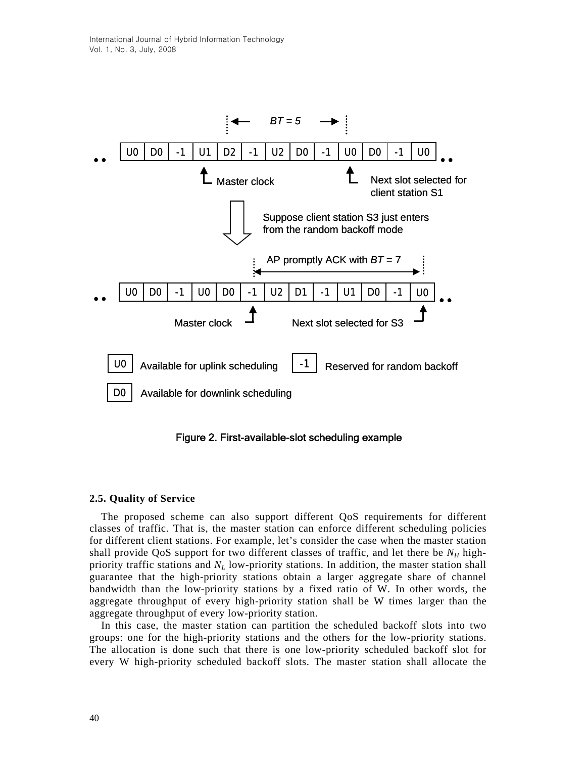

Figure 2. First-available-slot scheduling example

### **2.5. Quality of Service**

The proposed scheme can also support different QoS requirements for different classes of traffic. That is, the master station can enforce different scheduling policies for different client stations. For example, let's consider the case when the master station shall provide QoS support for two different classes of traffic, and let there be  $N_H$  highpriority traffic stations and  $N_L$  low-priority stations. In addition, the master station shall guarantee that the high-priority stations obtain a larger aggregate share of channel bandwidth than the low-priority stations by a fixed ratio of W. In other words, the aggregate throughput of every high-priority station shall be W times larger than the aggregate throughput of every low-priority station.

In this case, the master station can partition the scheduled backoff slots into two groups: one for the high-priority stations and the others for the low-priority stations. The allocation is done such that there is one low-priority scheduled backoff slot for every W high-priority scheduled backoff slots. The master station shall allocate the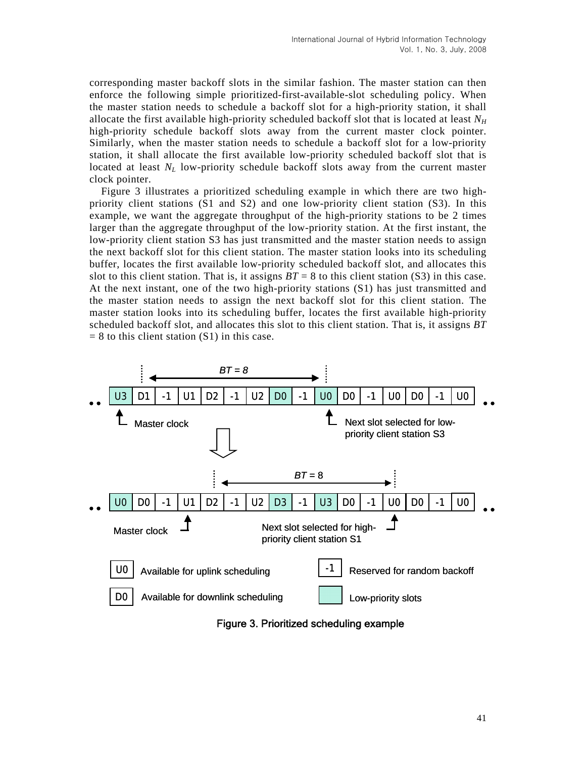corresponding master backoff slots in the similar fashion. The master station can then enforce the following simple prioritized-first-available-slot scheduling policy. When the master station needs to schedule a backoff slot for a high-priority station, it shall allocate the first available high-priority scheduled backoff slot that is located at least  $N_H$ high-priority schedule backoff slots away from the current master clock pointer. Similarly, when the master station needs to schedule a backoff slot for a low-priority station, it shall allocate the first available low-priority scheduled backoff slot that is located at least  $N_L$  low-priority schedule backoff slots away from the current master clock pointer.

Figure 3 illustrates a prioritized scheduling example in which there are two highpriority client stations (S1 and S2) and one low-priority client station (S3). In this example, we want the aggregate throughput of the high-priority stations to be 2 times larger than the aggregate throughput of the low-priority station. At the first instant, the low-priority client station S3 has just transmitted and the master station needs to assign the next backoff slot for this client station. The master station looks into its scheduling buffer, locates the first available low-priority scheduled backoff slot, and allocates this slot to this client station. That is, it assigns  $BT = 8$  to this client station (S3) in this case. At the next instant, one of the two high-priority stations (S1) has just transmitted and the master station needs to assign the next backoff slot for this client station. The master station looks into its scheduling buffer, locates the first available high-priority scheduled backoff slot, and allocates this slot to this client station. That is, it assigns *BT*  $= 8$  to this client station (S1) in this case.



Figure 3. Prioritized scheduling example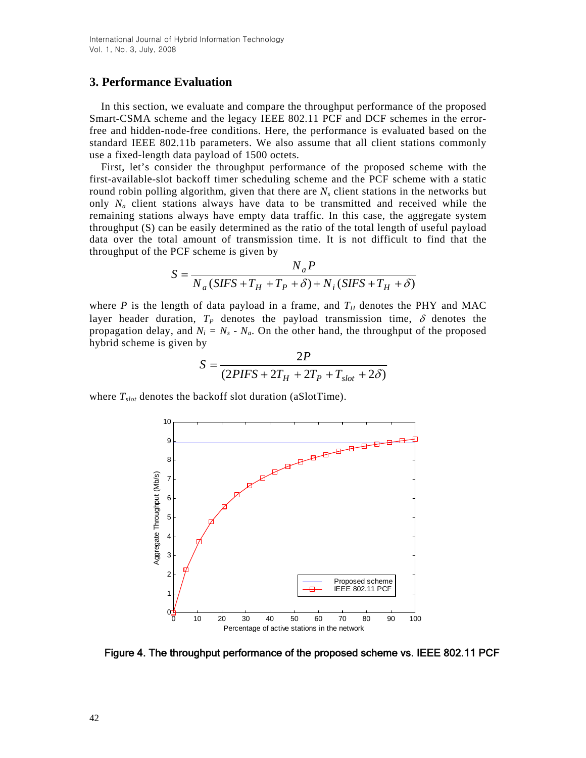### **3. Performance Evaluation**

In this section, we evaluate and compare the throughput performance of the proposed Smart-CSMA scheme and the legacy IEEE 802.11 PCF and DCF schemes in the errorfree and hidden-node-free conditions. Here, the performance is evaluated based on the standard IEEE 802.11b parameters. We also assume that all client stations commonly use a fixed-length data payload of 1500 octets.

First, let's consider the throughput performance of the proposed scheme with the first-available-slot backoff timer scheduling scheme and the PCF scheme with a static round robin polling algorithm, given that there are  $N<sub>s</sub>$  client stations in the networks but only  $N_a$  client stations always have data to be transmitted and received while the remaining stations always have empty data traffic. In this case, the aggregate system throughput (S) can be easily determined as the ratio of the total length of useful payload data over the total amount of transmission time. It is not difficult to find that the throughput of the PCF scheme is given by

$$
S = \frac{N_a P}{N_a (SIFS + T_H + T_P + \delta) + N_i (SIFS + T_H + \delta)}
$$

where  $P$  is the length of data payload in a frame, and  $T_H$  denotes the PHY and MAC layer header duration,  $T_P$  denotes the payload transmission time,  $\delta$  denotes the propagation delay, and  $N_i = N_s - N_a$ . On the other hand, the throughput of the proposed hybrid scheme is given by

$$
S = \frac{2P}{(2PIFS + 2T_H + 2T_P + T_{slot} + 2\delta)}
$$

where  $T_{slot}$  denotes the backoff slot duration (aSlotTime).



Figure 4. The throughput performance of the proposed scheme vs. IEEE 802.11 PCF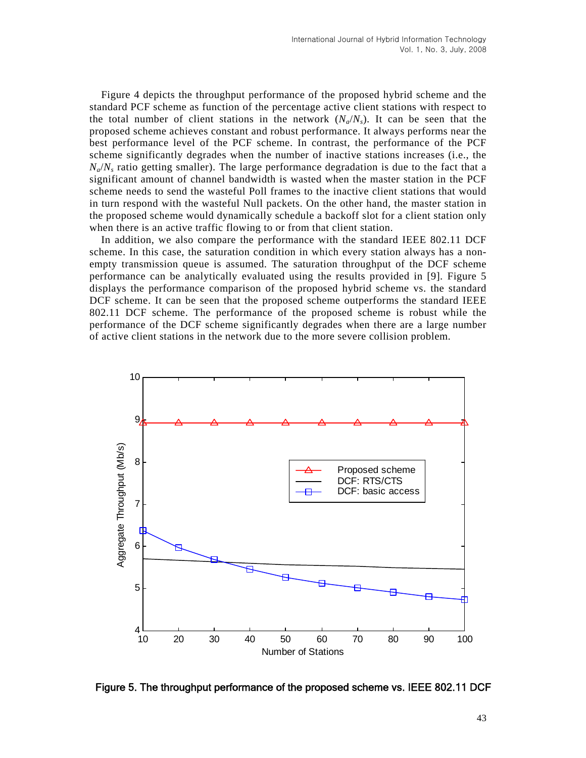Figure 4 depicts the throughput performance of the proposed hybrid scheme and the standard PCF scheme as function of the percentage active client stations with respect to the total number of client stations in the network  $(N_a/N_s)$ . It can be seen that the proposed scheme achieves constant and robust performance. It always performs near the best performance level of the PCF scheme. In contrast, the performance of the PCF scheme significantly degrades when the number of inactive stations increases (i.e., the  $N_a/N_s$  ratio getting smaller). The large performance degradation is due to the fact that a significant amount of channel bandwidth is wasted when the master station in the PCF scheme needs to send the wasteful Poll frames to the inactive client stations that would in turn respond with the wasteful Null packets. On the other hand, the master station in the proposed scheme would dynamically schedule a backoff slot for a client station only when there is an active traffic flowing to or from that client station.

In addition, we also compare the performance with the standard IEEE 802.11 DCF scheme. In this case, the saturation condition in which every station always has a nonempty transmission queue is assumed. The saturation throughput of the DCF scheme performance can be analytically evaluated using the results provided in [9]. Figure 5 displays the performance comparison of the proposed hybrid scheme vs. the standard DCF scheme. It can be seen that the proposed scheme outperforms the standard IEEE 802.11 DCF scheme. The performance of the proposed scheme is robust while the performance of the DCF scheme significantly degrades when there are a large number of active client stations in the network due to the more severe collision problem.



Figure 5. The throughput performance of the proposed scheme vs. IEEE 802.11 DCF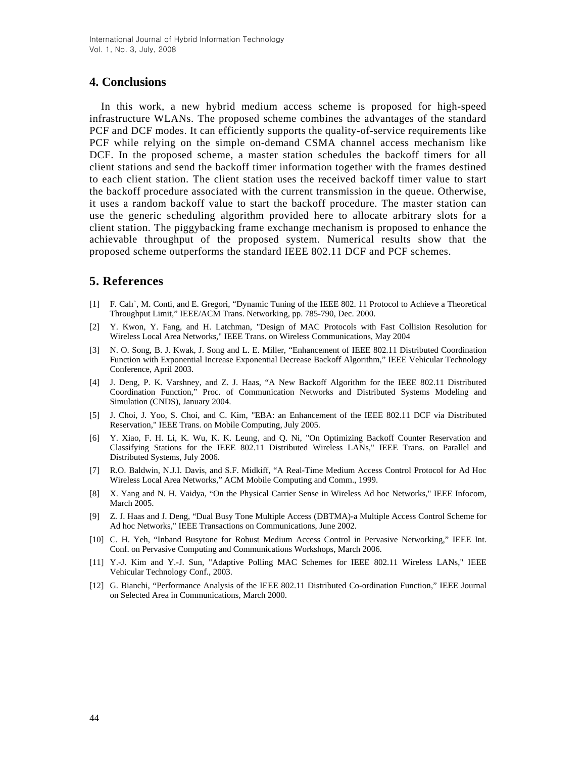# **4. Conclusions**

In this work, a new hybrid medium access scheme is proposed for high-speed infrastructure WLANs. The proposed scheme combines the advantages of the standard PCF and DCF modes. It can efficiently supports the quality-of-service requirements like PCF while relying on the simple on-demand CSMA channel access mechanism like DCF. In the proposed scheme, a master station schedules the backoff timers for all client stations and send the backoff timer information together with the frames destined to each client station. The client station uses the received backoff timer value to start the backoff procedure associated with the current transmission in the queue. Otherwise, it uses a random backoff value to start the backoff procedure. The master station can use the generic scheduling algorithm provided here to allocate arbitrary slots for a client station. The piggybacking frame exchange mechanism is proposed to enhance the achievable throughput of the proposed system. Numerical results show that the proposed scheme outperforms the standard IEEE 802.11 DCF and PCF schemes.

# **5. References**

- [1] F. Calı`, M. Conti, and E. Gregori, "Dynamic Tuning of the IEEE 802. 11 Protocol to Achieve a Theoretical Throughput Limit," IEEE/ACM Trans. Networking, pp. 785-790, Dec. 2000.
- [2] Y. Kwon, Y. Fang, and H. Latchman, "Design of MAC Protocols with Fast Collision Resolution for Wireless Local Area Networks," IEEE Trans. on Wireless Communications, May 2004
- [3] N. O. Song, B. J. Kwak, J. Song and L. E. Miller, "Enhancement of IEEE 802.11 Distributed Coordination Function with Exponential Increase Exponential Decrease Backoff Algorithm," IEEE Vehicular Technology Conference, April 2003.
- [4] J. Deng, P. K. Varshney, and Z. J. Haas, "A New Backoff Algorithm for the IEEE 802.11 Distributed Coordination Function," Proc. of Communication Networks and Distributed Systems Modeling and Simulation (CNDS), January 2004.
- [5] J. Choi, J. Yoo, S. Choi, and C. Kim, "EBA: an Enhancement of the IEEE 802.11 DCF via Distributed Reservation," IEEE Trans. on Mobile Computing, July 2005.
- [6] Y. Xiao, F. H. Li, K. Wu, K. K. Leung, and Q. Ni, "On Optimizing Backoff Counter Reservation and Classifying Stations for the IEEE 802.11 Distributed Wireless LANs," IEEE Trans. on Parallel and Distributed Systems, July 2006.
- [7] R.O. Baldwin, N.J.I. Davis, and S.F. Midkiff, "A Real-Time Medium Access Control Protocol for Ad Hoc Wireless Local Area Networks," ACM Mobile Computing and Comm., 1999.
- [8] X. Yang and N. H. Vaidya, "On the Physical Carrier Sense in Wireless Ad hoc Networks," IEEE Infocom, March 2005.
- [9] Z. J. Haas and J. Deng, "Dual Busy Tone Multiple Access (DBTMA)-a Multiple Access Control Scheme for Ad hoc Networks," IEEE Transactions on Communications, June 2002.
- [10] C. H. Yeh, "Inband Busytone for Robust Medium Access Control in Pervasive Networking," IEEE Int. Conf. on Pervasive Computing and Communications Workshops, March 2006.
- [11] Y.-J. Kim and Y.-J. Sun, "Adaptive Polling MAC Schemes for IEEE 802.11 Wireless LANs," IEEE Vehicular Technology Conf., 2003.
- [12] G. Bianchi, "Performance Analysis of the IEEE 802.11 Distributed Co-ordination Function," IEEE Journal on Selected Area in Communications, March 2000.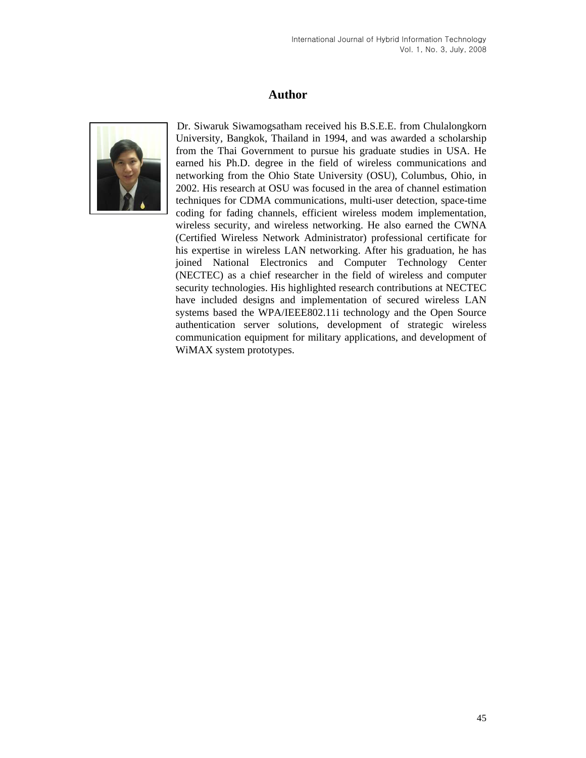# **Author**



Dr. Siwaruk Siwamogsatham received his B.S.E.E. from Chulalongkorn University, Bangkok, Thailand in 1994, and was awarded a scholarship from the Thai Government to pursue his graduate studies in USA. He earned his Ph.D. degree in the field of wireless communications and networking from the Ohio State University (OSU), Columbus, Ohio, in 2002. His research at OSU was focused in the area of channel estimation techniques for CDMA communications, multi-user detection, space-time coding for fading channels, efficient wireless modem implementation, wireless security, and wireless networking. He also earned the CWNA (Certified Wireless Network Administrator) professional certificate for his expertise in wireless LAN networking. After his graduation, he has joined National Electronics and Computer Technology Center (NECTEC) as a chief researcher in the field of wireless and computer security technologies. His highlighted research contributions at NECTEC have included designs and implementation of secured wireless LAN systems based the WPA/IEEE802.11i technology and the Open Source authentication server solutions, development of strategic wireless communication equipment for military applications, and development of WiMAX system prototypes.